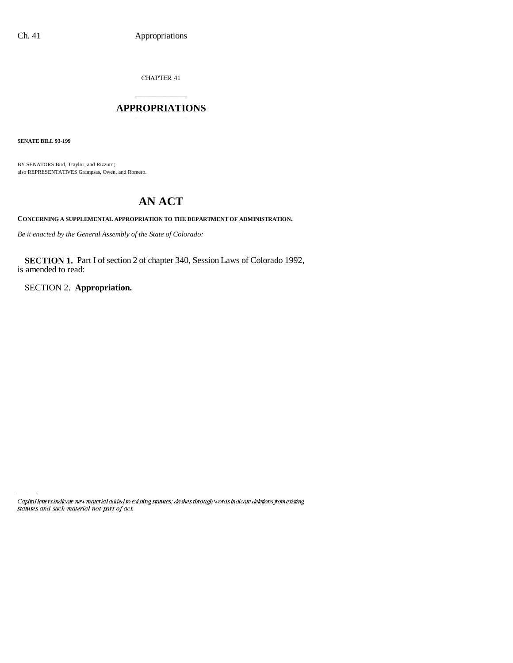$CHAPTER$  41

# \_\_\_\_\_\_\_\_\_\_\_\_\_\_\_ **APPROPRIATIONS** \_\_\_\_\_\_\_\_\_\_\_\_\_\_\_

**SENATE BILL 93-199**

BY SENATORS Bird, Traylor, and Rizzuto; also REPRESENTATIVES Grampsas, Owen, and Romero.

# **AN ACT**

**CONCERNING A SUPPLEMENTAL APPROPRIATION TO THE DEPARTMENT OF ADMINISTRATION.**

*Be it enacted by the General Assembly of the State of Colorado:*

**SECTION 1.** Part I of section 2 of chapter 340, Session Laws of Colorado 1992, is amended to read:

SECTION 2. **Appropriation.**

Capital letters indicate new material added to existing statutes; dashes through words indicate deletions from existing statutes and such material not part of act.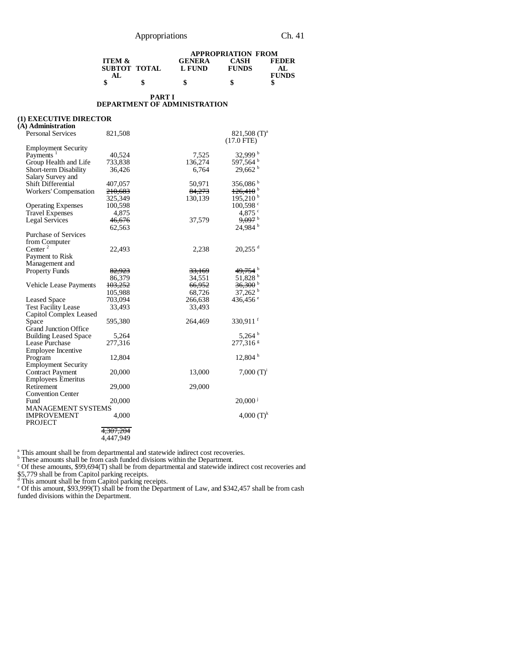|                   |              |               | <b>APPROPRIATION FROM</b> |              |
|-------------------|--------------|---------------|---------------------------|--------------|
| <b>ITEM &amp;</b> |              | <b>GENERA</b> | <b>CASH</b>               | <b>FEDER</b> |
|                   | SUBTOT TOTAL | L FUND        | <b>FUNDS</b>              | AL.          |
| AL.               |              |               |                           | <b>FUNDS</b> |
|                   |              | S             | S                         |              |

#### **PART I DEPARTMENT OF ADMINISTRATION**

# **(1) EXECUTIVE DIRECTOR**

| (A) Administration                   |                    |                   |                                          |
|--------------------------------------|--------------------|-------------------|------------------------------------------|
| <b>Personal Services</b>             | 821,508            |                   | 821,508 (T) <sup>a</sup><br>$(17.0$ FTE) |
| <b>Employment Security</b>           |                    |                   |                                          |
| Payments <sup>1</sup>                | 40,524             | 7,525             | 32,999 b                                 |
| Group Health and Life                | 733,838            | 136,274           | 597,564 <sup>b</sup>                     |
| Short-term Disability                | 36,426             | 6,764             | 29,662h                                  |
| Salary Survey and                    |                    |                   |                                          |
| <b>Shift Differential</b>            | 407,057            | 50,971            | 356,086 <sup>b</sup>                     |
| Workers' Compensation                | <del>210,683</del> | 84,273            | $126,410^{b}$                            |
|                                      | 325,349            | 130,139           | 195,210 <sup>b</sup>                     |
| <b>Operating Expenses</b>            | 100,598            |                   | 100,598 c                                |
| <b>Travel Expenses</b>               | 4,875              |                   | 4,875 °                                  |
| <b>Legal Services</b>                | 46,676             | 37,579            | $9,097$ <sup>b</sup>                     |
|                                      | 62,563             |                   | 24,984 <sup>b</sup>                      |
| <b>Purchase of Services</b>          |                    |                   |                                          |
| from Computer                        |                    |                   |                                          |
| Center <sup>2</sup>                  | 22,493             | 2,238             | $20,255$ <sup>d</sup>                    |
| Payment to Risk                      |                    |                   |                                          |
| Management and                       |                    |                   |                                          |
| <b>Property Funds</b>                | 82,923             | <del>33,169</del> | 49,754 <sup>b</sup>                      |
|                                      | 86,379             | 34,551            | 51,828 b                                 |
| <b>Vehicle Lease Payments</b>        | 103,252            | 66,952            | $36,300$ <sup>b</sup>                    |
|                                      | 105,988            | 68,726            | $37,262$ <sup>b</sup>                    |
| <b>Leased Space</b>                  | 703,094            | 266,638           | 436,456 <sup>e</sup>                     |
| <b>Test Facility Lease</b>           | 33,493             | 33,493            |                                          |
| Capitol Complex Leased               |                    |                   |                                          |
| Space                                | 595,380            | 264,469           | $330,911$ <sup>f</sup>                   |
| <b>Grand Junction Office</b>         |                    |                   |                                          |
| <b>Building Leased Space</b>         | 5,264              |                   | 5,264 $^{\rm b}$                         |
| Lease Purchase                       | 277,316            |                   | 277,316 <sup>s</sup>                     |
| Employee Incentive                   |                    |                   |                                          |
| Program                              | 12,804             |                   | $12,804$ h                               |
| <b>Employment Security</b>           |                    |                   |                                          |
| <b>Contract Payment</b>              | 20,000             | 13,000            | 7,000 $(T)^i$                            |
| <b>Employees Emeritus</b>            |                    |                   |                                          |
| Retirement                           | 29,000             | 29,000            |                                          |
| <b>Convention Center</b>             |                    |                   |                                          |
| Fund                                 | 20,000             |                   | $20,000^{\mathrm{j}}$                    |
| <b>MANAGEMENT SYSTEMS</b>            |                    |                   |                                          |
| <b>IMPROVEMENT</b><br><b>PROJECT</b> | 4,000              |                   | 4,000 $(T)^k$                            |
|                                      | 4,307,204          |                   |                                          |
|                                      | 4.447.949          |                   |                                          |
|                                      |                    |                   |                                          |

<sup>a</sup> This amount shall be from departmental and statewide indirect cost recoveries.<br><sup>b</sup> These amounts shall be from cash funded divisions within the Department.<br><sup>c</sup> Of these amounts, \$99,694(T) shall be from departmental a

\$5,779 shall be from Capitol parking receipts.<br><sup>d</sup> This amount shall be from Capitol parking receipts.<br>° Of this amount, \$93,999(T) shall be from the Department of Law, and \$342,457 shall be from cash funded divisions within the Department.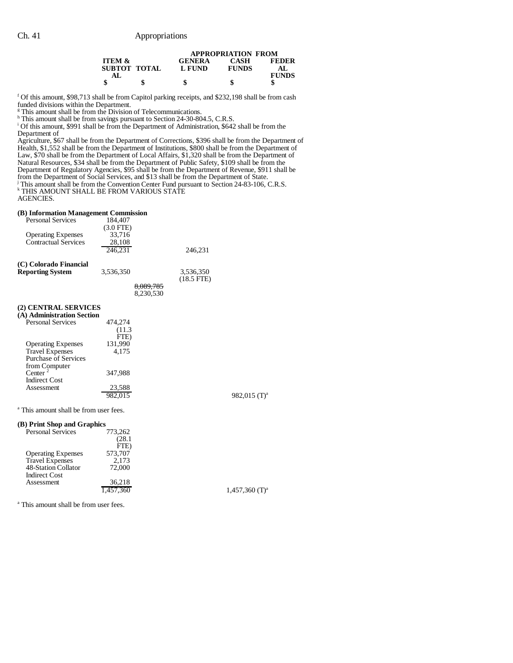|                   |              |               | <b>APPROPRIATION FROM</b> |              |
|-------------------|--------------|---------------|---------------------------|--------------|
| <b>ITEM &amp;</b> |              | <b>GENERA</b> | <b>CASH</b>               | <b>FEDER</b> |
|                   | SUBTOT TOTAL | L FUND        | <b>FUNDS</b>              | AL.          |
| AL.               |              |               |                           | <b>FUNDS</b> |
|                   | \$           | \$            | \$                        | S            |

<sup>f</sup> Of this amount, \$98,713 shall be from Capitol parking receipts, and \$232,198 shall be from cash funded divisions within the Department.

<sup>g</sup> This amount shall be from the Division of Telecommunications.<br><sup>h</sup> This amount shall be from savings pursuant to Section 24-30-804.5, C.R.S.<br><sup>i</sup> Of this amount, \$991 shall be from the Department of Administration, \$642 Department of

Agriculture, \$67 shall be from the Department of Corrections, \$396 shall be from the Department of Health, \$1,552 shall be from the Department of Institutions, \$800 shall be from the Department of Law, \$70 shall be from the Department of Local Affairs, \$1,320 shall be from the Department of Natural Resources, \$34 shall be from the Department of Public Safety, \$109 shall be from the Department of Regulatory Agencies, \$95 shall be from the Department of Revenue, \$911 shall be

from the Department of Social Services, and \$13 shall be from the Department of State. j This amount shall be from the Convention Center Fund pursuant to Section 24-83-106, C.R.S. k THIS AMOUNT SHALL BE FROM VARIOUS STATE

AGENCIES.

#### **(B) Information Management Commission**

| <b>Personal Services</b>                                 | 184,407                                    |                        |                              |
|----------------------------------------------------------|--------------------------------------------|------------------------|------------------------------|
| <b>Operating Expenses</b><br><b>Contractual Services</b> | $(3.0$ FTE)<br>33,716<br>28,108<br>246.231 |                        | 246.231                      |
| (C) Colorado Financial<br><b>Reporting System</b>        | 3.536.350                                  |                        | 3,536,350<br>$(18.5$ FTE $)$ |
|                                                          |                                            | 8,089,785<br>8.230.530 |                              |

### **(2) CENTRAL SERVICES**

| (A) Administration Section |         |
|----------------------------|---------|
| <b>Personal Services</b>   | 474.274 |
|                            | (11.3)  |
|                            | FTE)    |
| <b>Operating Expenses</b>  | 131,990 |
| <b>Travel Expenses</b>     | 4,175   |
| Purchase of Services       |         |
| from Computer              |         |
| Center <sup>2</sup>        | 347.988 |
| <b>Indirect Cost</b>       |         |
| Assessment                 | 23,588  |
|                            |         |

982,015 (T)<sup>a</sup>

<sup>a</sup> This amount shall be from user fees.

#### **(B) Print Shop and Graphics**

| $(2)$ and $(2)$ and $(3)$ and $(4)$ |         |  |
|-------------------------------------|---------|--|
| <b>Personal Services</b>            | 773,262 |  |
|                                     | (28.1   |  |
|                                     | FTE)    |  |
| <b>Operating Expenses</b>           | 573,707 |  |
| <b>Travel Expenses</b>              | 2.173   |  |
| 48-Station Collator                 | 72,000  |  |
| <b>Indirect Cost</b>                |         |  |
| Assessment                          | 36.218  |  |
|                                     |         |  |

 $,457,360$  (T)<sup>a</sup>

<sup>a</sup> This amount shall be from user fees.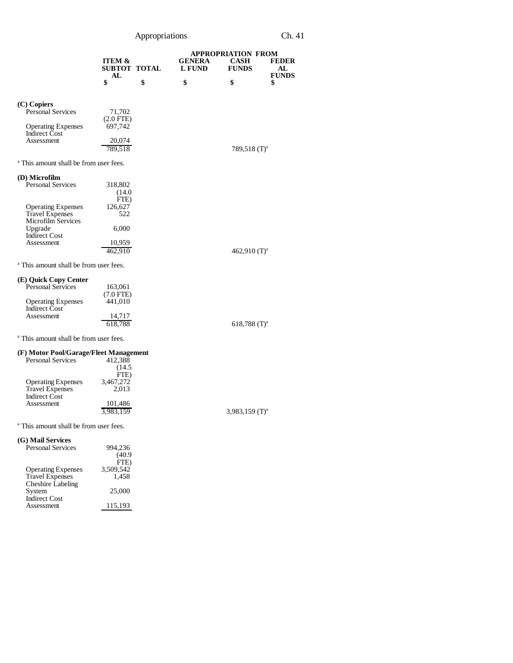Appropriations Ch. 41

|                                                                                 |                                   |                                | <b>APPROPRIATION FROM</b>    |                    |
|---------------------------------------------------------------------------------|-----------------------------------|--------------------------------|------------------------------|--------------------|
|                                                                                 | <b>ITEM &amp;</b><br>SUBTOT TOTAL | <b>GENERA</b><br><b>L FUND</b> | CASH<br><b>FUNDS</b>         | <b>FEDER</b><br>AL |
|                                                                                 | AL<br>\$                          | \$<br>\$                       | \$                           | <b>FUNDS</b><br>\$ |
| (C) Copiers                                                                     |                                   |                                |                              |                    |
| <b>Personal Services</b>                                                        | 71,702<br>$(2.0$ FTE $)$          |                                |                              |                    |
| <b>Operating Expenses</b><br>Indirect Cost                                      | 697,742                           |                                |                              |                    |
| Assessment                                                                      | 20,074<br>789,518                 |                                | 789,518 $(T)^a$              |                    |
| <sup>a</sup> This amount shall be from user fees.                               |                                   |                                |                              |                    |
| (D) Microfilm                                                                   |                                   |                                |                              |                    |
| <b>Personal Services</b>                                                        | 318,802<br>(14.0)<br>FTE)         |                                |                              |                    |
| <b>Operating Expenses</b><br>Travel Expenses                                    | 126,627<br>522                    |                                |                              |                    |
| <b>Microfilm Services</b><br>Upgrade                                            | 6,000                             |                                |                              |                    |
| <b>Indirect Cost</b><br>Assessment                                              | 10,959<br>462,910                 |                                | 462,910 $(T)^a$              |                    |
| <sup>a</sup> This amount shall be from user fees.                               |                                   |                                |                              |                    |
| (E) Quick Copy Center                                                           |                                   |                                |                              |                    |
| Personal Services                                                               | 163,061<br>$(7.0$ FTE)            |                                |                              |                    |
| <b>Operating Expenses</b><br><b>Indirect Cost</b>                               | 441,010                           |                                |                              |                    |
| Assessment                                                                      | 14,717<br>618,788                 |                                | $618,788$ (T) <sup>a</sup>   |                    |
| <sup>a</sup> This amount shall be from user fees.                               |                                   |                                |                              |                    |
| (F) Motor Pool/Garage/Fleet Management<br><b>Personal Services</b>              | 412,388                           |                                |                              |                    |
|                                                                                 | (14.5)<br>FTE)                    |                                |                              |                    |
| <b>Operating Expenses</b><br><b>Travel Expenses</b><br><b>Indirect Cost</b>     | 3,467,272<br>2,013                |                                |                              |                    |
| Assessment                                                                      | 101,486<br>3,983,159              |                                | $3,983,159$ (T) <sup>a</sup> |                    |
| <sup>a</sup> This amount shall be from user fees.                               |                                   |                                |                              |                    |
| (G) Mail Services                                                               |                                   |                                |                              |                    |
| <b>Personal Services</b>                                                        | 994,236<br>(40.9)                 |                                |                              |                    |
|                                                                                 | FTE)<br>3,509,542                 |                                |                              |                    |
| <b>Operating Expenses</b><br><b>Travel Expenses</b><br><b>Cheshire Labeling</b> | 1,458                             |                                |                              |                    |
| System<br><b>Indirect Cost</b>                                                  | 25,000                            |                                |                              |                    |
| Assessment                                                                      | 115,193                           |                                |                              |                    |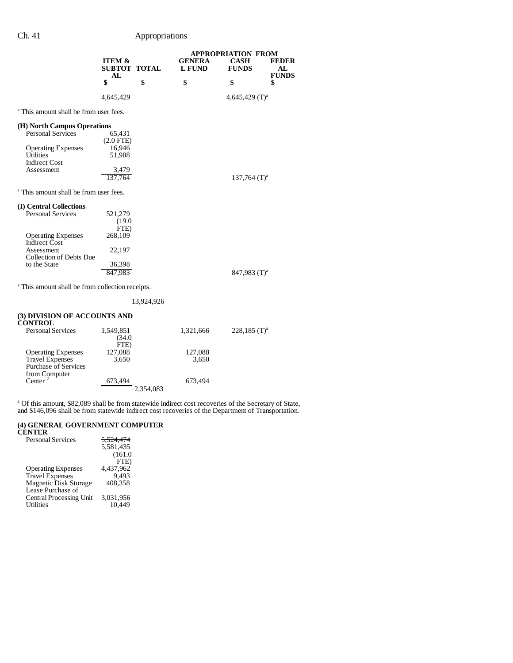# Ch. 41 Appropriations

|                                                             | <b>ITEM &amp;</b><br><b>SUBTOT TOTAL</b><br>AL |            | <b>GENERA</b><br><b>L FUND</b> | <b>APPROPRIATION FROM</b><br><b>CASH</b><br><b>FUNDS</b> | <b>FEDER</b><br>AL<br><b>FUNDS</b> |
|-------------------------------------------------------------|------------------------------------------------|------------|--------------------------------|----------------------------------------------------------|------------------------------------|
|                                                             | \$                                             | \$         | \$                             | \$                                                       | \$                                 |
|                                                             | 4,645,429                                      |            |                                | 4,645,429 $(T)^a$                                        |                                    |
| <sup>a</sup> This amount shall be from user fees.           |                                                |            |                                |                                                          |                                    |
| (H) North Campus Operations                                 |                                                |            |                                |                                                          |                                    |
| Personal Services                                           | 65,431                                         |            |                                |                                                          |                                    |
|                                                             | $(2.0$ FTE $)$                                 |            |                                |                                                          |                                    |
| <b>Operating Expenses</b><br><b>Utilities</b>               | 16,946<br>51,908                               |            |                                |                                                          |                                    |
| <b>Indirect Cost</b>                                        |                                                |            |                                |                                                          |                                    |
| Assessment                                                  | 3,479                                          |            |                                |                                                          |                                    |
|                                                             | 137,764                                        |            |                                | 137,764 $(T)^a$                                          |                                    |
| <sup>a</sup> This amount shall be from user fees.           |                                                |            |                                |                                                          |                                    |
| (I) Central Collections                                     |                                                |            |                                |                                                          |                                    |
| <b>Personal Services</b>                                    | 521,279                                        |            |                                |                                                          |                                    |
|                                                             | (19.0)                                         |            |                                |                                                          |                                    |
|                                                             | FTE)                                           |            |                                |                                                          |                                    |
| <b>Operating Expenses</b><br><b>Indirect Cost</b>           | 268,109                                        |            |                                |                                                          |                                    |
| Assessment                                                  | 22,197                                         |            |                                |                                                          |                                    |
| Collection of Debts Due                                     |                                                |            |                                |                                                          |                                    |
| to the State                                                | 36,398                                         |            |                                |                                                          |                                    |
|                                                             | 847,983                                        |            |                                | 847,983 $(T)^a$                                          |                                    |
| <sup>a</sup> This amount shall be from collection receipts. |                                                |            |                                |                                                          |                                    |
|                                                             |                                                | 13,924,926 |                                |                                                          |                                    |
| (3) DIVISION OF ACCOUNTS AND<br><b>CONTROL</b>              |                                                |            |                                |                                                          |                                    |

| CONTINUE                    |           |           |                            |
|-----------------------------|-----------|-----------|----------------------------|
| <b>Personal Services</b>    | 1,549,851 | 1,321,666 | $228,185$ (T) <sup>a</sup> |
|                             | (34.0     |           |                            |
|                             | FTE)      |           |                            |
| <b>Operating Expenses</b>   | 127,088   | 127,088   |                            |
| <b>Travel Expenses</b>      | 3,650     | 3,650     |                            |
| <b>Purchase of Services</b> |           |           |                            |
| from Computer               |           |           |                            |
| Center <sup>2</sup>         | 673,494   | 673.494   |                            |
|                             | 2,354,083 |           |                            |
|                             |           |           |                            |

<sup>a</sup> Of this amount, \$82,089 shall be from statewide indirect cost recoveries of the Secretary of State, and \$146,096 shall be from statewide indirect cost recoveries of the Department of Transportation.

#### **(4) GENERAL GOVERNMENT COMPUTER CENTER**

| <b>Personal Services</b>       | <del>5.524.474</del> |
|--------------------------------|----------------------|
|                                | 5.581.435            |
|                                | (161.0)              |
|                                | FTE)                 |
| <b>Operating Expenses</b>      | 4,437,962            |
| <b>Travel Expenses</b>         | 9.493                |
| Magnetic Disk Storage          | 408.358              |
| Lease Purchase of              |                      |
| <b>Central Processing Unit</b> | 3.031.956            |
| Utilities                      | 10.449               |
|                                |                      |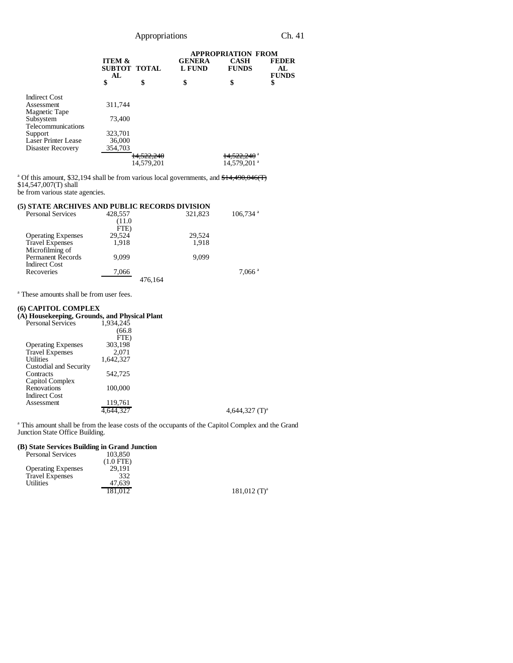|                      |                                         |                       | <b>APPROPRIATION FROM</b>      |                             |                                     |
|----------------------|-----------------------------------------|-----------------------|--------------------------------|-----------------------------|-------------------------------------|
|                      | <b>ITEM &amp;</b><br>SUBTOT TOTAL<br>AL |                       | <b>GENERA</b><br><b>L FUND</b> | <b>CASH</b><br><b>FUNDS</b> | <b>FEDER</b><br>AL.<br><b>FUNDS</b> |
|                      | \$                                      | \$                    | \$                             | \$                          | \$                                  |
| <b>Indirect Cost</b> |                                         |                       |                                |                             |                                     |
| Assessment           | 311,744                                 |                       |                                |                             |                                     |
| Magnetic Tape        |                                         |                       |                                |                             |                                     |
| Subsystem            | 73,400                                  |                       |                                |                             |                                     |
| Telecommunications   |                                         |                       |                                |                             |                                     |
| Support              | 323,701                                 |                       |                                |                             |                                     |
| Laser Printer Lease  | 36,000                                  |                       |                                |                             |                                     |
| Disaster Recovery    | 354,703                                 |                       |                                |                             |                                     |
|                      |                                         | <del>14,522,240</del> |                                | <del>14,522,240</del> a     |                                     |
|                      |                                         | 14,579,201            |                                | 14,579,201 <sup>a</sup>     |                                     |

<sup>a</sup> Of this amount, \$32,194 shall be from various local governments, and \$14,490,046(T) \$14,547,007(T) shall

be from various state agencies.

| (5) STATE ARCHIVES AND PUBLIC RECORDS DIVISION |         |         |                        |
|------------------------------------------------|---------|---------|------------------------|
| <b>Personal Services</b>                       | 428,557 | 321,823 | $106,734$ <sup>a</sup> |
|                                                | (11.0)  |         |                        |
|                                                | FTE)    |         |                        |
| <b>Operating Expenses</b>                      | 29,524  | 29,524  |                        |
| <b>Travel Expenses</b>                         | 1.918   | 1.918   |                        |
| Microfilming of                                |         |         |                        |
| <b>Permanent Records</b>                       | 9.099   | 9.099   |                        |
| <b>Indirect Cost</b>                           |         |         |                        |
| Recoveries                                     | 7,066   |         | $7,066$ <sup>a</sup>   |
|                                                |         | 476.164 |                        |
|                                                |         |         |                        |

a These amounts shall be from user fees.

# **(6) CAPITOL COMPLEX**

### **(A) Housekeeping, Grounds, and Physical Plant**

| $\sim$<br><b>Personal Services</b> | 1,934,245 |                   |
|------------------------------------|-----------|-------------------|
|                                    | (66.8)    |                   |
|                                    | FTE)      |                   |
| <b>Operating Expenses</b>          | 303,198   |                   |
| <b>Travel Expenses</b>             | 2.071     |                   |
| <b>Utilities</b>                   | 1,642,327 |                   |
| Custodial and Security             |           |                   |
| Contracts                          | 542,725   |                   |
| Capitol Complex                    |           |                   |
| Renovations                        | 100,000   |                   |
| <b>Indirect Cost</b>               |           |                   |
| Assessment                         | 119,761   |                   |
|                                    |           | 4,644,327 $(T)^a$ |
|                                    |           |                   |

<sup>a</sup> This amount shall be from the lease costs of the occupants of the Capitol Complex and the Grand Junction State Office Building.

## **(B) State Services Building in Grand Junction**

| 103.850     |                            |
|-------------|----------------------------|
| $(1.0$ FTE) |                            |
| 29,191      |                            |
| 332         |                            |
| 47.639      |                            |
|             | $181,012$ (T) <sup>a</sup> |
|             |                            |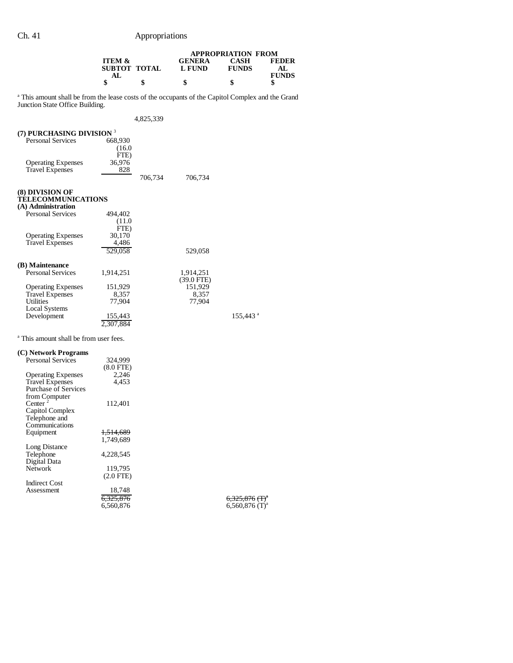|                                                                                                                                                 | ITEM &<br><b>SUBTOT TOTAL</b>     |           | <b>GENERA</b><br><b>L FUND</b> | <b>APPROPRIATION FROM</b><br>CASH<br><b>FUNDS</b>            | <b>FEDER</b><br>AL |
|-------------------------------------------------------------------------------------------------------------------------------------------------|-----------------------------------|-----------|--------------------------------|--------------------------------------------------------------|--------------------|
|                                                                                                                                                 | AL<br>\$                          | \$        | \$                             | \$                                                           | <b>FUNDS</b><br>\$ |
| <sup>a</sup> This amount shall be from the lease costs of the occupants of the Capitol Complex and the Grand<br>Junction State Office Building. |                                   |           |                                |                                                              |                    |
|                                                                                                                                                 |                                   | 4,825,339 |                                |                                                              |                    |
| (7) PURCHASING DIVISION <sup>3</sup><br><b>Personal Services</b>                                                                                | 668,930<br>(16.0)<br>FTE)         |           |                                |                                                              |                    |
| <b>Operating Expenses</b><br><b>Travel Expenses</b>                                                                                             | 36,976<br>828                     | 706,734   | 706,734                        |                                                              |                    |
| (8) DIVISION OF<br><b>TELECOMMUNICATIONS</b><br>(A) Administration                                                                              |                                   |           |                                |                                                              |                    |
| <b>Personal Services</b>                                                                                                                        | 494,402<br>(11.0)<br>FTE)         |           |                                |                                                              |                    |
| <b>Operating Expenses</b><br><b>Travel Expenses</b>                                                                                             | 30,170<br>4,486<br>529,058        |           | 529,058                        |                                                              |                    |
| (B) Maintenance                                                                                                                                 |                                   |           |                                |                                                              |                    |
| <b>Personal Services</b>                                                                                                                        | 1,914,251                         |           | 1,914,251<br>$(39.0$ FTE)      |                                                              |                    |
| <b>Operating Expenses</b><br><b>Travel Expenses</b><br>Utilities                                                                                | 151,929<br>8,357<br>77,904        |           | 151,929<br>8,357<br>77,904     |                                                              |                    |
| <b>Local Systems</b><br>Development                                                                                                             | 155,443<br>2,307,884              |           |                                | $155,443$ <sup>a</sup>                                       |                    |
| <sup>a</sup> This amount shall be from user fees.                                                                                               |                                   |           |                                |                                                              |                    |
| (C) Network Programs                                                                                                                            |                                   |           |                                |                                                              |                    |
| Personal Services                                                                                                                               | 324,999<br>$(8.0$ FTE $)$         |           |                                |                                                              |                    |
| <b>Operating Expenses</b><br><b>Travel Expenses</b><br>Purchase of Services<br>from Computer                                                    | 2,246<br>4,453                    |           |                                |                                                              |                    |
| Center $2$<br>Capitol Complex<br>Telephone and                                                                                                  | 112,401                           |           |                                |                                                              |                    |
| Communications<br>Equipment                                                                                                                     | <del>1,514,689</del><br>1,749,689 |           |                                |                                                              |                    |
| Long Distance<br>Telephone<br>Digital Data                                                                                                      | 4,228,545                         |           |                                |                                                              |                    |
| Network                                                                                                                                         | 119,795<br>$(2.0$ FTE $)$         |           |                                |                                                              |                    |
| <b>Indirect Cost</b>                                                                                                                            |                                   |           |                                |                                                              |                    |
| Assessment                                                                                                                                      | 18,748<br>6,325,876<br>6,560,876  |           |                                | $6,325,876$ (T) <sup>a</sup><br>$6,560,876$ (T) <sup>a</sup> |                    |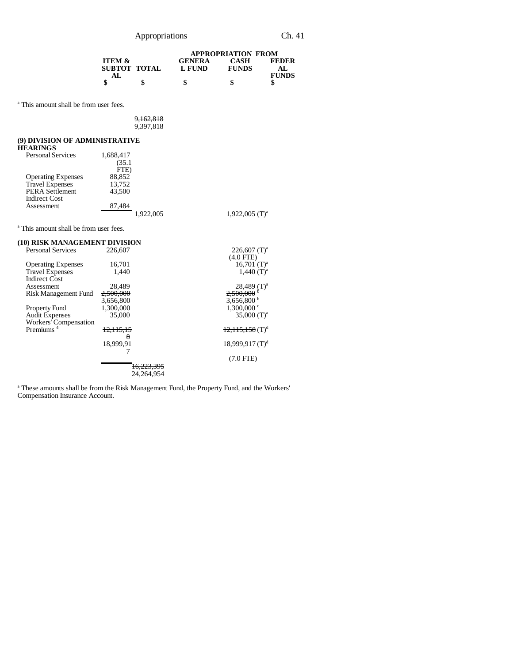Appropriations Ch. 41

|                   |   | <b>APPROPRIATION FROM</b> |              |              |  |
|-------------------|---|---------------------------|--------------|--------------|--|
| <b>ITEM &amp;</b> |   | <b>GENERA</b>             | CASH         | <b>FEDER</b> |  |
| SUBTOT TOTAL      |   | L FUND                    | <b>FUNDS</b> |              |  |
| AL.               |   |                           |              | <b>FUNDS</b> |  |
|                   | S | \$                        | \$           |              |  |

 $12,115,158$  (T)<sup>d</sup>

18,999,917 (T)<sup>d</sup> (7.0 FTE)

a This amount shall be from user fees.

| 9,162,818 |  |
|-----------|--|
| 9,397,818 |  |

## **(9) DIVISION OF ADMINISTRATIVE**

Workers' Compensation<br>Premiums <sup>4</sup> 12,115,15

| <b>HEARINGS</b>                                   |           |           |                              |
|---------------------------------------------------|-----------|-----------|------------------------------|
| <b>Personal Services</b>                          | 1,688,417 |           |                              |
|                                                   | (35.1)    |           |                              |
|                                                   | FTE)      |           |                              |
| <b>Operating Expenses</b>                         | 88,852    |           |                              |
| <b>Travel Expenses</b>                            | 13,752    |           |                              |
| <b>PERA Settlement</b>                            | 43,500    |           |                              |
| <b>Indirect Cost</b>                              |           |           |                              |
| Assessment                                        | 87,484    |           |                              |
|                                                   |           | 1,922,005 | $1,922,005$ (T) <sup>a</sup> |
| <sup>a</sup> This amount shall be from user fees. |           |           |                              |
| (10) RISK MANAGEMENT DIVISION                     |           |           |                              |
| <b>Personal Services</b>                          | 226,607   |           | $226,607$ (T) <sup>a</sup>   |
|                                                   |           |           | (4.0 FTE)                    |
| <b>Operating Expenses</b>                         | 16,701    |           | 16,701 $(T)^a$               |
| <b>Travel Expenses</b>                            | 1,440     |           | $1,440$ (T) <sup>a</sup>     |
| <b>Indirect Cost</b>                              |           |           |                              |
| Assessment                                        | 28,489    |           | $28,489$ $(T)^a$             |
| Risk Management Fund                              | 2,500,000 |           | 2,500,000                    |
|                                                   | 3,656,800 |           | 3,656,800 $^{\circ}$         |
| Property Fund                                     |           |           |                              |
|                                                   | 1,300,000 |           | $1,300,000$ c                |
| <b>Audit Expenses</b>                             | 35,000    |           | 35,000 $(T)^a$               |

 $\frac{12,115,15}{8}$ 

18,999,91 7

<sup>a</sup> These amounts shall be from the Risk Management Fund, the Property Fund, and the Workers' Compensation Insurance Account.

16,223,395 24,264,954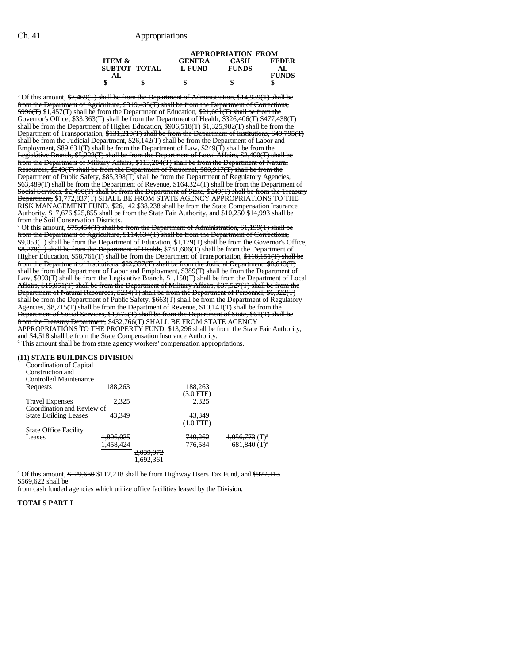|                   |              | <b>APPROPRIATION FROM</b> |              |              |  |  |  |
|-------------------|--------------|---------------------------|--------------|--------------|--|--|--|
| <b>ITEM &amp;</b> |              | <b>GENERA</b>             | <b>CASH</b>  | <b>FEDER</b> |  |  |  |
|                   | SUBTOT TOTAL | L FUND                    | <b>FUNDS</b> | AL.          |  |  |  |
| AL.               |              |                           |              | <b>FUNDS</b> |  |  |  |
|                   |              | \$                        | \$           |              |  |  |  |

<sup>b</sup> Of this amount, <del>\$7,469(T) shall be from the Department of Administration, \$14,939(T) shall be</del> from the Department of Agriculture, \$319,435(T) shall be from the Department of Corrections,  $\frac{4996}{7}$ \$1,457(T) shall be from the Department of Education,  $\frac{21,661}{T}$  shall be from the Governor's Office, \$33,363(T) shall be from the Department of Health, \$326,406(T) \$477,438(T) shall be from the Department of Higher Education,  $\frac{2906.518(T)}{325.982(T)}$  shall be from the Department of Transportation, \$131,210(T) shall be from the Department of Institutions, \$49,795(T) shall be from the Judicial Department, \$26,142(T) shall be from the Department of Labor and Employment, \$89,631(T) shall be from the Department of Law, \$249(T) shall be from the Legislative Branch, \$5,228(T) shall be from the Department of Local Affairs, \$2,490(T) shall be from the Department of Military Affairs, \$113,284(T) shall be from the Department of Natural Resources, \$249(T) shall be from the Department of Personnel, \$80,917(T) shall be from the Department of Public Safety, \$85,398(T) shall be from the Department of Regulatory Agencies, \$63,489(T) shall be from the Department of Revenue, \$164,324(T) shall be from the Department of Social Services, \$2,490(T) shall be from the Department of State, \$249(T) shall be from the Treasury <del>Department,</del> \$1,772,837(T) SHALL BE FROM STATE AGENCY APPROPRIATIONS TO THE RISK MANAGEMENT FUND, \$26,142 \$38,238 shall be from the State Compensation Insurance Authority, \$17,676 \$25,855 shall be from the State Fair Authority, and \$10,250 \$14,993 shall be from the Soil Conservation Districts.

<sup>c</sup> Of this amount, \$75,454(T) shall be from the Department of Administration, \$1,199(T) shall be from the Department of Agriculture, \$114,634(T) shall be from the Department of Corrections,  $$9,053(T)$  shall be from the Department of Education,  $$1,179(T)$  shall be from the Governor's Office, \$8,278(T) shall be from the Department of Health, \$781,606(T) shall be from the Department of Higher Education, \$58,761(T) shall be from the Department of Transportation, \$118,151(T) shall be from the Department of Institutions, \$22,337(T) shall be from the Judicial Department, \$8,613(T) shall be from the Department of Labor and Employment, \$389(T) shall be from the Department of Law, \$993(T) shall be from the Legislative Branch, \$1,150(T) shall be from the Department of Local Affairs, \$15,051(T) shall be from the Department of Military Affairs, \$37,527(T) shall be from the Department of Natural Resources, \$234(T) shall be from the Department of Personnel, \$6,322(T) shall be from the Department of Public Safety, \$663(T) shall be from the Department of Regulatory Agencies, \$8,715(T) shall be from the Department of Revenue, \$10,141(T) shall be from the Department of Social Services, \$1,675(T) shall be from the Department of State, \$61(T) shall be from the Treasury Department, \$432,766(T) SHALL BE FROM STATE AGENCY APPROPRIATIONS TO THE PROPERTY FUND, \$13,296 shall be from the State Fair Authority, and \$4,518 shall be from the State Compensation Insurance Authority. d This amount shall be from state agency workers' compensation appropriations.

#### **(11) STATE BUILDINGS DIVISION**

| Coordination of Capital      |           |           |                    |                              |
|------------------------------|-----------|-----------|--------------------|------------------------------|
| Construction and             |           |           |                    |                              |
| Controlled Maintenance       |           |           |                    |                              |
| Requests                     | 188,263   |           | 188,263            |                              |
|                              |           |           | $(3.0$ FTE)        |                              |
| <b>Travel Expenses</b>       | 2.325     |           | 2.325              |                              |
| Coordination and Review of   |           |           |                    |                              |
| <b>State Building Leases</b> | 43.349    |           | 43.349             |                              |
|                              |           |           | $(1.0$ FTE)        |                              |
| <b>State Office Facility</b> |           |           |                    |                              |
| Leases                       | 1,806,035 |           | <del>749,262</del> | $1,056,773$ (T) <sup>a</sup> |
|                              | 1,458,424 |           | 776.584            | $681.840$ (T) <sup>a</sup>   |
|                              |           | 2,039,972 |                    |                              |
|                              |           | .692.361  |                    |                              |

<sup>a</sup> Of this amount, \$129,660 \$112,218 shall be from Highway Users Tax Fund, and \$927,113 \$569,622 shall be

from cash funded agencies which utilize office facilities leased by the Division.

#### **TOTALS PART I**